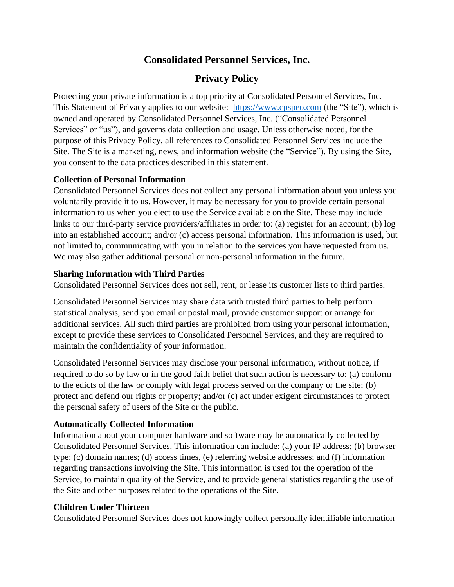## **Consolidated Personnel Services, Inc.**

# **Privacy Policy**

Protecting your private information is a top priority at Consolidated Personnel Services, Inc. This Statement of Privacy applies to our website: [https://www.cpspeo.com](https://www.cpspeo.com/) (the "Site"), which is owned and operated by Consolidated Personnel Services, Inc. ("Consolidated Personnel Services" or "us"), and governs data collection and usage. Unless otherwise noted, for the purpose of this Privacy Policy, all references to Consolidated Personnel Services include the Site. The Site is a marketing, news, and information website (the "Service"). By using the Site, you consent to the data practices described in this statement.

## **Collection of Personal Information**

Consolidated Personnel Services does not collect any personal information about you unless you voluntarily provide it to us. However, it may be necessary for you to provide certain personal information to us when you elect to use the Service available on the Site. These may include links to our third-party service providers/affiliates in order to: (a) register for an account; (b) log into an established account; and/or (c) access personal information. This information is used, but not limited to, communicating with you in relation to the services you have requested from us. We may also gather additional personal or non-personal information in the future.

### **Sharing Information with Third Parties**

Consolidated Personnel Services does not sell, rent, or lease its customer lists to third parties.

Consolidated Personnel Services may share data with trusted third parties to help perform statistical analysis, send you email or postal mail, provide customer support or arrange for additional services. All such third parties are prohibited from using your personal information, except to provide these services to Consolidated Personnel Services, and they are required to maintain the confidentiality of your information.

Consolidated Personnel Services may disclose your personal information, without notice, if required to do so by law or in the good faith belief that such action is necessary to: (a) conform to the edicts of the law or comply with legal process served on the company or the site; (b) protect and defend our rights or property; and/or (c) act under exigent circumstances to protect the personal safety of users of the Site or the public.

## **Automatically Collected Information**

Information about your computer hardware and software may be automatically collected by Consolidated Personnel Services. This information can include: (a) your IP address; (b) browser type; (c) domain names; (d) access times, (e) referring website addresses; and (f) information regarding transactions involving the Site. This information is used for the operation of the Service, to maintain quality of the Service, and to provide general statistics regarding the use of the Site and other purposes related to the operations of the Site.

## **Children Under Thirteen**

Consolidated Personnel Services does not knowingly collect personally identifiable information